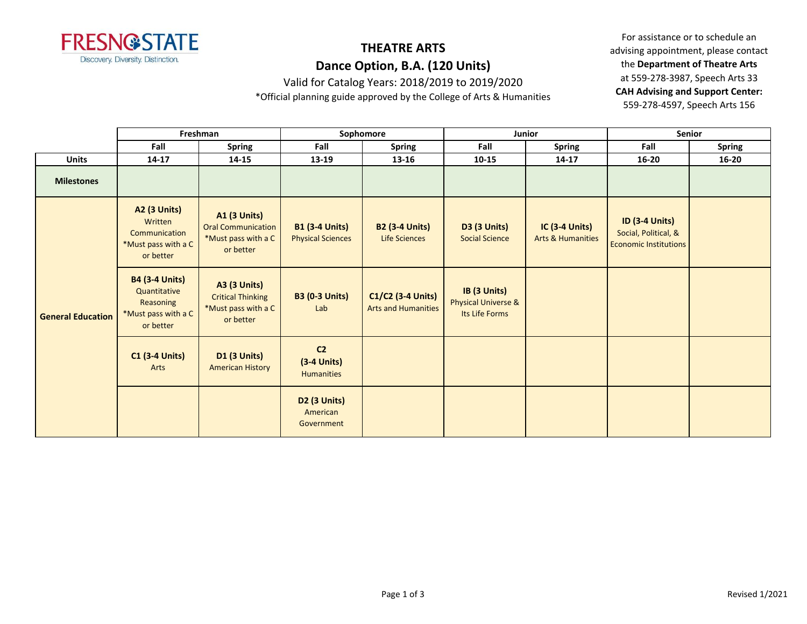

# **THEATRE ARTS**

## **Dance Option, B.A. (120 Units)**

Valid for Catalog Years: 2018/2019 to 2019/2020

\*Official planning guide approved by the College of Arts & Humanities

|                          | Freshman                                                                                      |                                                                                      | Sophomore                                            |                                                 |                                                                  | Junior                                           | Senior                                                                        |               |
|--------------------------|-----------------------------------------------------------------------------------------------|--------------------------------------------------------------------------------------|------------------------------------------------------|-------------------------------------------------|------------------------------------------------------------------|--------------------------------------------------|-------------------------------------------------------------------------------|---------------|
|                          | Fall                                                                                          | <b>Spring</b>                                                                        | Fall                                                 | <b>Spring</b>                                   | Fall                                                             | <b>Spring</b>                                    | Fall                                                                          | <b>Spring</b> |
| <b>Units</b>             | $14 - 17$                                                                                     | 14-15                                                                                | 13-19                                                | $13 - 16$                                       | $10 - 15$                                                        | $14 - 17$                                        | $16 - 20$                                                                     | $16 - 20$     |
| <b>Milestones</b>        |                                                                                               |                                                                                      |                                                      |                                                 |                                                                  |                                                  |                                                                               |               |
| <b>General Education</b> | <b>A2 (3 Units)</b><br>Written<br>Communication<br>*Must pass with a C<br>or better           | <b>A1 (3 Units)</b><br><b>Oral Communication</b><br>*Must pass with a C<br>or better | <b>B1 (3-4 Units)</b><br><b>Physical Sciences</b>    | <b>B2 (3-4 Units)</b><br>Life Sciences          | <b>D3 (3 Units)</b><br><b>Social Science</b>                     | $IC$ (3-4 Units)<br><b>Arts &amp; Humanities</b> | <b>ID (3-4 Units)</b><br>Social, Political, &<br><b>Economic Institutions</b> |               |
|                          | <b>B4 (3-4 Units)</b><br>Quantitative<br><b>Reasoning</b><br>*Must pass with a C<br>or better | <b>A3 (3 Units)</b><br><b>Critical Thinking</b><br>*Must pass with a C<br>or better  | <b>B3 (0-3 Units)</b><br>Lab                         | C1/C2 (3-4 Units)<br><b>Arts and Humanities</b> | IB (3 Units)<br><b>Physical Universe &amp;</b><br>Its Life Forms |                                                  |                                                                               |               |
|                          | <b>C1 (3-4 Units)</b><br>Arts                                                                 | <b>D1 (3 Units)</b><br><b>American History</b>                                       | C <sub>2</sub><br>$(3-4$ Units)<br><b>Humanities</b> |                                                 |                                                                  |                                                  |                                                                               |               |
|                          |                                                                                               |                                                                                      | D <sub>2</sub> (3 Units)<br>American<br>Government   |                                                 |                                                                  |                                                  |                                                                               |               |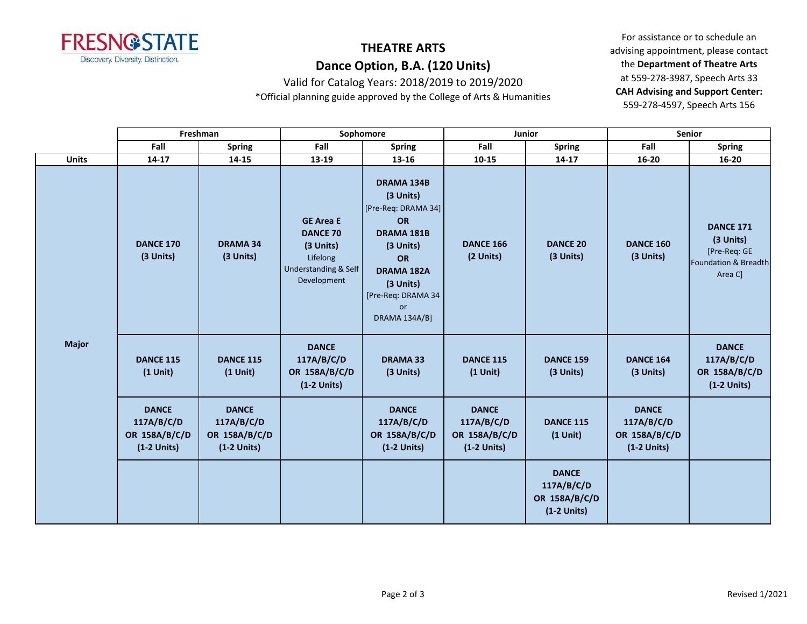

# **THEATRE ARTS**

## **Dance Option, B.A. (120 Units)**

Valid for Catalog Years: 2018/2019 to 2019/2020

\*Official planning guide approved by the College of Arts & Humanities

|              | Freshman                                                     |                                                              | Sophomore                                                                                                      |                                                                                                                                                                                           |                                                              | Junior                                                       | Senior                                                       |                                                                                  |  |
|--------------|--------------------------------------------------------------|--------------------------------------------------------------|----------------------------------------------------------------------------------------------------------------|-------------------------------------------------------------------------------------------------------------------------------------------------------------------------------------------|--------------------------------------------------------------|--------------------------------------------------------------|--------------------------------------------------------------|----------------------------------------------------------------------------------|--|
|              | Fall                                                         | <b>Spring</b>                                                | Fall                                                                                                           | <b>Spring</b>                                                                                                                                                                             | Fall                                                         | <b>Spring</b>                                                | Fall                                                         | <b>Spring</b>                                                                    |  |
| <b>Units</b> | 14-17                                                        | 14-15                                                        | 13-19                                                                                                          | 13-16                                                                                                                                                                                     | 10-15                                                        | 14-17                                                        | 16-20                                                        | $16 - 20$                                                                        |  |
| <b>Major</b> | <b>DANCE 170</b><br>(3 Units)                                | <b>DRAMA 34</b><br>(3 Units)                                 | <b>GE Area E</b><br><b>DANCE 70</b><br>(3 Units)<br>Lifelong<br><b>Understanding &amp; Self</b><br>Development | <b>DRAMA 134B</b><br>(3 Units)<br>[Pre-Req: DRAMA 34]<br><b>OR</b><br>DRAMA 181B<br>(3 Units)<br>OR<br><b>DRAMA 182A</b><br>(3 Units)<br>[Pre-Req: DRAMA 34<br>or<br><b>DRAMA 134A/B]</b> | <b>DANCE 166</b><br>(2 Units)                                | <b>DANCE 20</b><br>(3 Units)                                 | <b>DANCE 160</b><br>(3 Units)                                | <b>DANCE 171</b><br>(3 Units)<br>[Pre-Req: GE<br>Foundation & Breadth<br>Area C] |  |
|              | <b>DANCE 115</b><br>$(1$ Unit)                               | <b>DANCE 115</b><br>$(1$ Unit)                               | <b>DANCE</b><br>117A/B/C/D<br>OR 158A/B/C/D<br>$(1-2$ Units)                                                   | <b>DRAMA 33</b><br>(3 Units)                                                                                                                                                              | <b>DANCE 115</b><br>$(1$ Unit)                               | <b>DANCE 159</b><br>(3 Units)                                | <b>DANCE 164</b><br>(3 Units)                                | <b>DANCE</b><br>117A/B/C/D<br>OR 158A/B/C/D<br>$(1-2$ Units)                     |  |
|              | <b>DANCE</b><br>117A/B/C/D<br>OR 158A/B/C/D<br>$(1-2$ Units) | <b>DANCE</b><br>117A/B/C/D<br>OR 158A/B/C/D<br>$(1-2$ Units) |                                                                                                                | <b>DANCE</b><br>117A/B/C/D<br>OR 158A/B/C/D<br>$(1-2$ Units)                                                                                                                              | <b>DANCE</b><br>117A/B/C/D<br>OR 158A/B/C/D<br>$(1-2$ Units) | <b>DANCE 115</b><br>$(1$ Unit)                               | <b>DANCE</b><br>117A/B/C/D<br>OR 158A/B/C/D<br>$(1-2$ Units) |                                                                                  |  |
|              |                                                              |                                                              |                                                                                                                |                                                                                                                                                                                           |                                                              | <b>DANCE</b><br>117A/B/C/D<br>OR 158A/B/C/D<br>$(1-2$ Units) |                                                              |                                                                                  |  |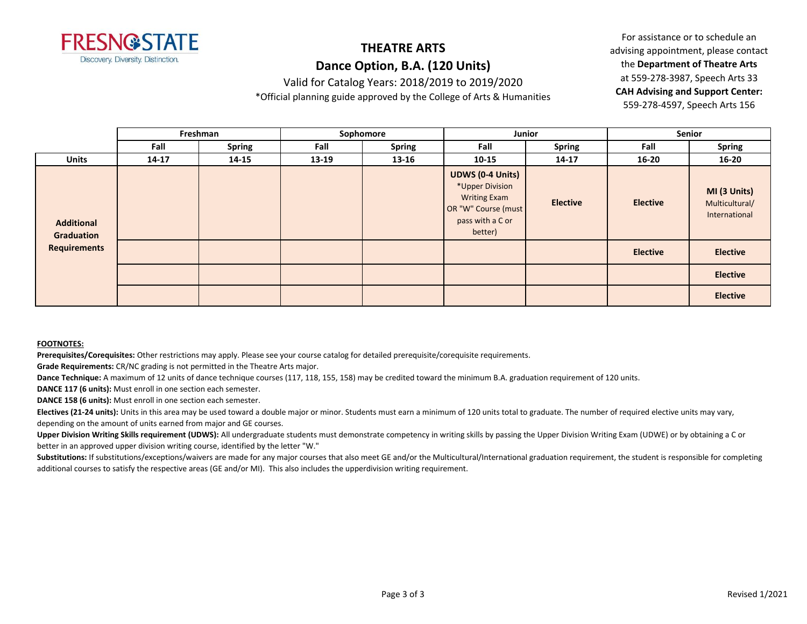

# **THEATRE ARTS**

## **Dance Option, B.A. (120 Units)**

Valid for Catalog Years: 2018/2019 to 2019/2020

\*Official planning guide approved by the College of Arts & Humanities

For assistance or to schedule an advising appointment, please contact the **Department of Theatre Arts** at 559-278-3987, Speech Arts 33 **CAH Advising and Support Center:**  559-278-4597, Speech Arts 156

|                                 |           | Freshman      | Sophomore |               | Junior                                                                                                                  |                 | Senior          |                                                 |
|---------------------------------|-----------|---------------|-----------|---------------|-------------------------------------------------------------------------------------------------------------------------|-----------------|-----------------|-------------------------------------------------|
|                                 | Fall      | <b>Spring</b> | Fall      | <b>Spring</b> | Fall                                                                                                                    | Spring          | Fall            | <b>Spring</b>                                   |
| <b>Units</b>                    | $14 - 17$ | 14-15         | 13-19     | $13 - 16$     | $10 - 15$                                                                                                               | $14 - 17$       | $16 - 20$       | $16 - 20$                                       |
| <b>Additional</b><br>Graduation |           |               |           |               | <b>UDWS (0-4 Units)</b><br>*Upper Division<br><b>Writing Exam</b><br>OR "W" Course (must<br>pass with a C or<br>better) | <b>Elective</b> | <b>Elective</b> | MI (3 Units)<br>Multicultural/<br>International |
| <b>Requirements</b>             |           |               |           |               |                                                                                                                         |                 | <b>Elective</b> | <b>Elective</b>                                 |
|                                 |           |               |           |               |                                                                                                                         |                 |                 | <b>Elective</b>                                 |
|                                 |           |               |           |               |                                                                                                                         |                 |                 | <b>Elective</b>                                 |

#### **FOOTNOTES:**

**Prerequisites/Corequisites:** Other restrictions may apply. Please see your course catalog for detailed prerequisite/corequisite requirements.

**Grade Requirements:** CR/NC grading is not permitted in the Theatre Arts major.

**Dance Technique:** A maximum of 12 units of dance technique courses (117, 118, 155, 158) may be credited toward the minimum B.A. graduation requirement of 120 units.

**DANCE 117 (6 units):** Must enroll in one section each semester.

**DANCE 158 (6 units):** Must enroll in one section each semester.

Electives (21-24 units): Units in this area may be used toward a double major or minor. Students must earn a minimum of 120 units total to graduate. The number of required elective units may vary, depending on the amount of units earned from major and GE courses.

**Upper Division Writing Skills requirement (UDWS):** All undergraduate students must demonstrate competency in writing skills by passing the Upper Division Writing Exam (UDWE) or by obtaining a C or better in an approved upper division writing course, identified by the letter "W."

Substitutions: If substitutions/exceptions/waivers are made for any major courses that also meet GE and/or the Multicultural/International graduation requirement, the student is responsible for completing additional courses to satisfy the respective areas (GE and/or MI). This also includes the upperdivision writing requirement.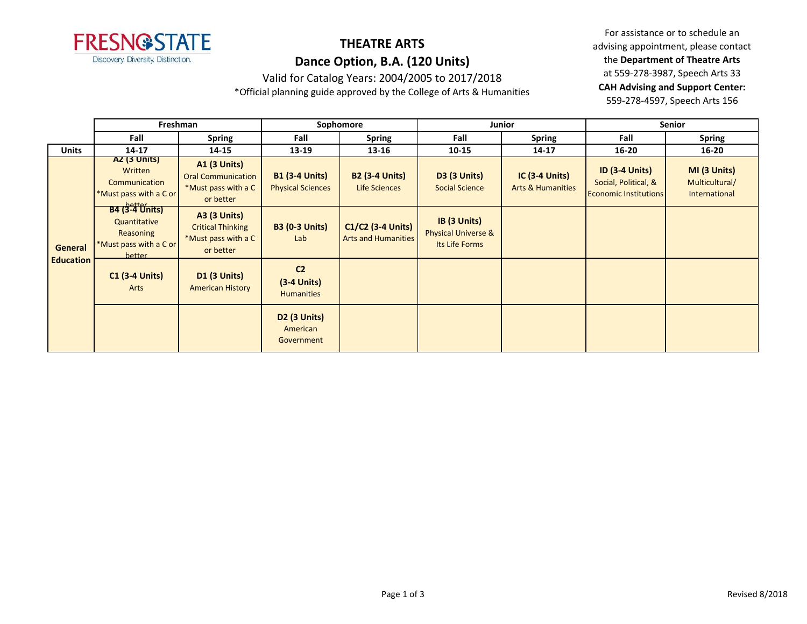

## **THEATRE ARTS Dance Option, B.A. (120 Units)**

Valid for Catalog Years: 2004/2005 to 2017/2018

\*Official planning guide approved by the College of Arts & Humanities

|                             | Freshman                                                                               |                                                                                      | Sophomore                                            |                                                 | Junior                                                |                                                       | <b>Senior</b>                                                                 |                                                 |
|-----------------------------|----------------------------------------------------------------------------------------|--------------------------------------------------------------------------------------|------------------------------------------------------|-------------------------------------------------|-------------------------------------------------------|-------------------------------------------------------|-------------------------------------------------------------------------------|-------------------------------------------------|
|                             | Fall                                                                                   | <b>Spring</b>                                                                        | Fall                                                 | <b>Spring</b>                                   | Fall                                                  | <b>Spring</b>                                         | Fall                                                                          | <b>Spring</b>                                   |
| <b>Units</b>                | 14-17                                                                                  | 14-15                                                                                | 13-19                                                | 13-16                                           | $10 - 15$                                             | $14 - 17$                                             | $16 - 20$                                                                     | $16 - 20$                                       |
| General<br><b>Education</b> | AZ (3 UNITS)<br>Written<br>Communication<br>*Must pass with a C or                     | <b>A1 (3 Units)</b><br><b>Oral Communication</b><br>*Must pass with a C<br>or better | <b>B1 (3-4 Units)</b><br><b>Physical Sciences</b>    | <b>B2 (3-4 Units)</b><br>Life Sciences          | <b>D3 (3 Units)</b><br><b>Social Science</b>          | <b>IC (3-4 Units)</b><br><b>Arts &amp; Humanities</b> | <b>ID (3-4 Units)</b><br>Social, Political, &<br><b>Economic Institutions</b> | MI (3 Units)<br>Multicultural/<br>International |
|                             | <b>B4 (3-4 Units)</b><br>Quantitative<br>Reasoning<br>*Must pass with a C or<br>hetter | <b>A3 (3 Units)</b><br><b>Critical Thinking</b><br>*Must pass with a C<br>or better  | <b>B3 (0-3 Units)</b><br>Lab                         | C1/C2 (3-4 Units)<br><b>Arts and Humanities</b> | IB (3 Units)<br>Physical Universe &<br>Its Life Forms |                                                       |                                                                               |                                                 |
|                             | <b>C1 (3-4 Units)</b><br>Arts                                                          | <b>D1 (3 Units)</b><br><b>American History</b>                                       | C <sub>2</sub><br>$(3-4$ Units)<br><b>Humanities</b> |                                                 |                                                       |                                                       |                                                                               |                                                 |
|                             |                                                                                        |                                                                                      | <b>D2 (3 Units)</b><br>American<br>Government        |                                                 |                                                       |                                                       |                                                                               |                                                 |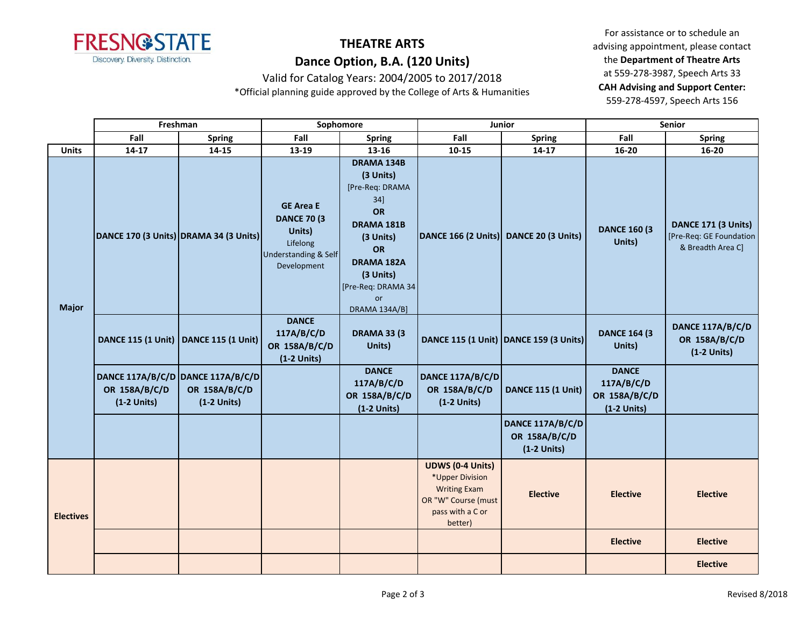

# **THEATRE ARTS Dance Option, B.A. (120 Units)**

Valid for Catalog Years: 2004/2005 to 2017/2018

\*Official planning guide approved by the College of Arts & Humanities

|                                  | Freshman                                                            |                                | Sophomore                                                                                                       |                                                                                                                                                                                   | Junior                                                                                                                  |                                                    | <b>Senior</b>                                                |                                                                     |
|----------------------------------|---------------------------------------------------------------------|--------------------------------|-----------------------------------------------------------------------------------------------------------------|-----------------------------------------------------------------------------------------------------------------------------------------------------------------------------------|-------------------------------------------------------------------------------------------------------------------------|----------------------------------------------------|--------------------------------------------------------------|---------------------------------------------------------------------|
|                                  | Fall                                                                | <b>Spring</b>                  | Fall                                                                                                            | <b>Spring</b>                                                                                                                                                                     | Fall                                                                                                                    | <b>Spring</b>                                      | Fall                                                         | <b>Spring</b>                                                       |
| <b>Units</b>                     | $14 - 17$                                                           | $14 - 15$                      | 13-19                                                                                                           | 13-16                                                                                                                                                                             | $10 - 15$                                                                                                               | $14 - 17$                                          | 16-20                                                        | $16 - 20$                                                           |
| <b>Major</b><br><b>Electives</b> | DANCE 170 (3 Units) DRAMA 34 (3 Units)                              |                                | <b>GE Area E</b><br><b>DANCE 70 (3)</b><br>Units)<br>Lifelong<br><b>Understanding &amp; Self</b><br>Development | DRAMA 134B<br>(3 Units)<br>[Pre-Req: DRAMA<br>$34$ ]<br><b>OR</b><br>DRAMA 181B<br>(3 Units)<br>OR<br>DRAMA 182A<br>(3 Units)<br>[Pre-Req: DRAMA 34<br><b>or</b><br>DRAMA 134A/B] | DANCE 166 (2 Units) DANCE 20 (3 Units)                                                                                  |                                                    | <b>DANCE 160 (3)</b><br>Units)                               | DANCE 171 (3 Units)<br>[Pre-Req: GE Foundation<br>& Breadth Area C] |
|                                  | DANCE 115 (1 Unit)   DANCE 115 (1 Unit)                             |                                | <b>DANCE</b><br>117A/B/C/D<br>OR 158A/B/C/D<br>$(1-2$ Units)                                                    | <b>DRAMA 33 (3)</b><br>Units)                                                                                                                                                     |                                                                                                                         | DANCE 115 (1 Unit) DANCE 159 (3 Units)             | <b>DANCE 164 (3)</b><br>Units)                               | DANCE 117A/B/C/D<br>OR 158A/B/C/D<br>$(1-2$ Units)                  |
|                                  | DANCE 117A/B/C/D DANCE 117A/B/C/D<br>OR 158A/B/C/D<br>$(1-2$ Units) | OR 158A/B/C/D<br>$(1-2$ Units) |                                                                                                                 | <b>DANCE</b><br>117A/B/C/D<br>OR 158A/B/C/D<br>$(1-2$ Units)                                                                                                                      | DANCE 117A/B/C/D<br>OR 158A/B/C/D<br>$(1-2$ Units)                                                                      | <b>DANCE 115 (1 Unit)</b>                          | <b>DANCE</b><br>117A/B/C/D<br>OR 158A/B/C/D<br>$(1-2$ Units) |                                                                     |
|                                  |                                                                     |                                |                                                                                                                 |                                                                                                                                                                                   |                                                                                                                         | DANCE 117A/B/C/D<br>OR 158A/B/C/D<br>$(1-2$ Units) |                                                              |                                                                     |
|                                  |                                                                     |                                |                                                                                                                 |                                                                                                                                                                                   | <b>UDWS (0-4 Units)</b><br>*Upper Division<br><b>Writing Exam</b><br>OR "W" Course (must<br>pass with a C or<br>better) | <b>Elective</b>                                    | <b>Elective</b>                                              | <b>Elective</b>                                                     |
|                                  |                                                                     |                                |                                                                                                                 |                                                                                                                                                                                   |                                                                                                                         |                                                    | <b>Elective</b>                                              | <b>Elective</b>                                                     |
|                                  |                                                                     |                                |                                                                                                                 |                                                                                                                                                                                   |                                                                                                                         |                                                    |                                                              | <b>Elective</b>                                                     |